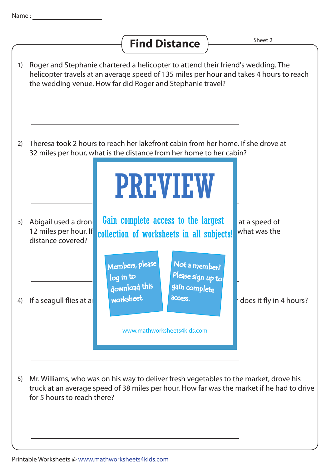## **Find Distance**  $\frac{Sheet 2}{Snet 2}$